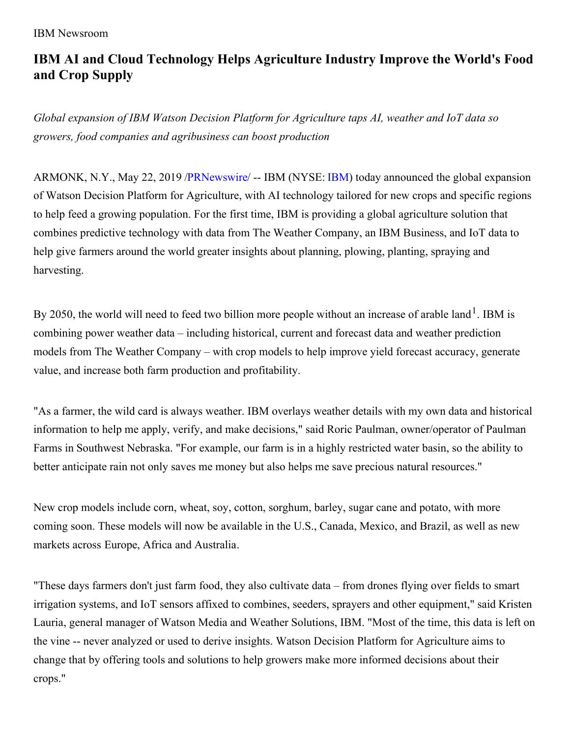#### IBM Newsroom

# **IBM AI and Cloud Technology Helps Agriculture Industry Improve the World's Food and Crop Supply**

*Global expansion of IBM Watson Decision Platform for Agriculture taps AI, weather and IoT data so growers, food companies and agribusiness can boost production*

ARMONK, N.Y., May 22, 2019 [/PRNewswire](http://www.prnewswire.com/)/ -- IBM (NYSE: [IBM\)](https://c212.net/c/link/?t=0&l=en&o=2475384-1&h=3570224123&u=https%3A%2F%2Fc212.net%2Fc%2Flink%2F%3Ft%3D0%26l%3Den%26o%3D2341074-1%26h%3D1671035463%26u%3Dhttps%253A%252F%252Fwww.ibm.com%252Finvestor%252F%26a%3DIBM&a=IBM) today announced the global expansion of Watson Decision Platform for Agriculture, with AI technology tailored for new crops and specific regions to help feed a growing population. For the first time, IBM is providing a global agriculture solution that combines predictive technology with data from The Weather Company, an IBM Business, and IoT data to help give farmers around the world greater insights about planning, plowing, planting, spraying and harvesting.

By 2050, the world will need to feed two billion more people without an increase of arable land  $^1$ . IBM is combining power weather data – including historical, current and forecast data and weather prediction models from The Weather Company – with crop models to help improve yield forecast accuracy, generate value, and increase both farm production and profitability.

"As a farmer, the wild card is always weather. IBM overlays weather details with my own data and historical information to help me apply, verify, and make decisions," said Roric Paulman, owner/operator of Paulman Farms in Southwest Nebraska. "For example, our farm is in a highly restricted water basin, so the ability to better anticipate rain not only saves me money but also helps me save precious natural resources."

New crop models include corn, wheat, soy, cotton, sorghum, barley, sugar cane and potato, with more coming soon. These models will now be available in the U.S., Canada, Mexico, and Brazil, as well as new markets across Europe, Africa and Australia.

"These days farmers don't just farm food, they also cultivate data – from drones flying over fields to smart irrigation systems, and IoT sensors affixed to combines, seeders, sprayers and other equipment," said Kristen Lauria, general manager of Watson Media and Weather Solutions, IBM. "Most of the time, this data is left on the vine -- never analyzed or used to derive insights. Watson Decision Platform for Agriculture aims to change that by offering tools and solutions to help growers make more informed decisions about their crops."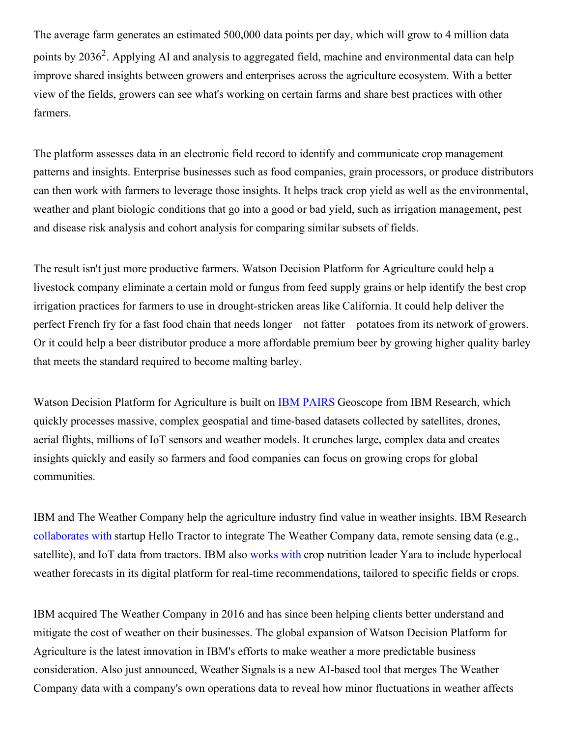The average farm generates an estimated 500,000 data points per day, which will grow to 4 million data points by 2036<sup>2</sup>. Applying AI and analysis to aggregated field, machine and environmental data can help improve shared insights between growers and enterprises across the agriculture ecosystem. With a better view of the fields, growers can see what's working on certain farms and share best practices with other farmers.

The platform assesses data in an electronic field record to identify and communicate crop management patterns and insights. Enterprise businesses such as food companies, grain processors, or produce distributors can then work with farmers to leverage those insights. It helps track crop yield as well as the environmental, weather and plant biologic conditions that go into a good or bad yield, such as irrigation management, pest and disease risk analysis and cohort analysis for comparing similar subsets of fields.

The result isn't just more productive farmers. Watson Decision Platform for Agriculture could help a livestock company eliminate a certain mold or fungus from feed supply grains or help identify the best crop irrigation practices for farmers to use in drought-stricken areas like California. It could help deliver the perfect French fry for a fast food chain that needs longer – not fatter – potatoes from its network of growers. Or it could help a beer distributor produce a more affordable premium beer by growing higher quality barley that meets the standard required to become malting barley.

Watson Decision Platform for Agriculture is built on **IBM [PAIRS](https://c212.net/c/link/?t=0&l=en&o=2475384-1&h=4253588252&u=https%3A%2F%2Fibmpairs.mybluemix.net%2F&a=IBM+PAIRS)** Geoscope from IBM Research, which quickly processes massive, complex geospatial and time-based datasets collected by satellites, drones, aerial flights, millions of IoT sensors and weather models. It crunches large, complex data and creates insights quickly and easily so farmers and food companies can focus on growing crops for global communities.

IBM and The Weather Company help the agriculture industry find value in weather insights. IBM Research [collaborates](https://c212.net/c/link/?t=0&l=en&o=2475384-1&h=2665839216&u=https%3A%2F%2Fwww.hellotractor.com%2Fibm%2F&a=collaborates+with) with startup Hello Tractor to integrate The Weather Company data, remote sensing data (e.g., satellite), and IoT data from tractors. IBM also [works](https://c212.net/c/link/?t=0&l=en&o=2475384-1&h=3239060162&u=https%3A%2F%2Fnewsroom.ibm.com%2F2019-04-26-Yara-and-IBM-join-forces-to-transform-the-future-of-farming&a=works+with) with crop nutrition leader Yara to include hyperlocal weather forecasts in its digital platform for real-time recommendations, tailored to specific fields or crops.

IBM acquired The Weather Company in 2016 and has since been helping clients better understand and mitigate the cost of weather on their businesses. The global expansion of Watson Decision Platform for Agriculture is the latest innovation in IBM's efforts to make weather a more predictable business consideration. Also just announced, Weather Signals is a new AI-based tool that merges The Weather Company data with a company's own operations data to reveal how minor fluctuations in weather affects